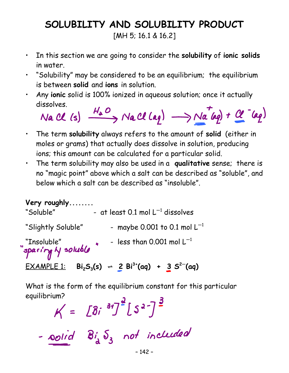# **SOLUBILITY AND SOLUBILITY PRODUCT**

[MH 5; 16.1 & 16.2]

- In this section we are going to consider the **solubility** of **ionic solids** in water.
- "Solubility" may be considered to be an equilibrium; the equilibrium is between **solid** and **ions** in solution.
- Any **ionic** solid is 100% ionized in aqueous solution; once it actually dissolves.

Na CL (s) 
$$
\xrightarrow{H_a O} NaCl(aq) \longrightarrow Na(aq) + Cl(aq)
$$

- The term **solubility** always refers to the amount of **solid** (either in moles or grams) that actually does dissolve in solution, producing ions; this amount can be calculated for a particular solid.
- The term solubility may also be used in a **qualitative** sense; there is no "magic point" above which a salt can be described as "soluble", and below which a salt can be described as "insoluble".

**Very roughly........** "Soluble"  $-$  at least 0.1 mol  $L^{-1}$  dissolves "Slightly Soluble" - maybe 0.001 to 0.1 mol  $L^{-1}$ "Insoluble"  $\bullet$   $\bullet$  - less than 0.001 mol L<sup>-1</sup><br>"spar*ing N* soluble"  $EXAMPLE 1: \quad Bi_2S_3(s) \ \div \ \frac{2}{3} Bi^3 \cdot (aq) \ + \ \frac{3}{3} S^2 \cdot (aq)$ 

What is the form of the equilibrium constant for this particular equilibrium? $-2 - 3$ 

$$
K = [Bi31]/[S2-]
$$
  
-oolid Bi<sub>d</sub> S<sub>3</sub> not included  
-<sup>142-</sup>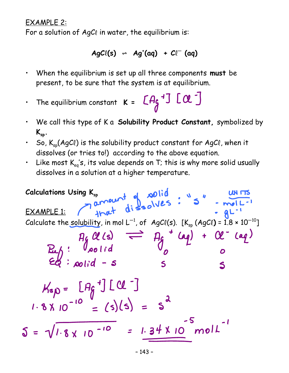#### EXAMPLE 2:

For a solution of  $AgC\ell$  in water, the equilibrium is:

$$
AgC\ell(s) \rightarrow Ag^{\dagger}(aq) + Cl^{\dagger}(aq)
$$

- When the equilibrium is set up all three components **must** be present, to be sure that the system is at equilibrium.
- The equilibrium constant  $\kappa = \begin{bmatrix} A_{\zeta}^{\dagger} & 0 \\ 0 & 0 \end{bmatrix}$
- We call this type of K a **Solubility Product Constant,** symbolized by  $K_{\rm sb}$ .
- So,  $K_{\text{sp}}(AgCl)$  is the solubility product constant for AgCl, when it dissolves (or tries to!) according to the above equation.
- Like most  $K_{eq}$ 's, its value depends on T; this is why more solid usually dissolves in a solution at a higher temperature.

Calculations Using 
$$
K_{sp}
$$
  
\nEXAMPLE 1:  
\n $3 \times 2 \times 10^{11} \text{ d}i$   
\n $3 \times 2 \times 10^{11} \text{ e}^2$   
\nCalculate the solubility, in mol L<sup>-1</sup>, of AgCl(s). [K<sub>sp</sub> (AgCl) = 1.8 × 10<sup>-10</sup>]  
\n $3 \times 10^{-10}$   
\n $4 \times 10^{-10}$   
\n $4 \times 10^{-10}$   
\n $4 \times 10^{-10}$   
\n $4 \times 10^{-10}$   
\n $4 \times 10^{-10}$   
\n $4 \times 10^{-10}$   
\n $4 \times 10^{-10}$   
\n $4 \times 10^{-10}$   
\n $4 \times 10^{-10}$   
\n $4 \times 10^{-10}$   
\n $4 \times 10^{-10}$   
\n $4 \times 10^{-10}$   
\n $4 \times 10^{-10}$   
\n $4 \times 10^{-10}$   
\n $4 \times 10^{-10}$   
\n $4 \times 10^{-10}$   
\n $4 \times 10^{-10}$   
\n $4 \times 10^{-10}$   
\n $4 \times 10^{-10}$   
\n $4 \times 10^{-10}$   
\n $4 \times 10^{-10}$   
\n $4 \times 10^{-10}$   
\n $4 \times 10^{-10}$   
\n $4 \times 10^{-10}$   
\n $4 \times 10^{-10}$   
\n $4 \times 10^{-10}$   
\n $4 \times 10^{-10}$   
\n $4 \times 10^{-10}$   
\n $4 \times 10^{-10}$   
\n $4 \times 10^{-10}$   
\n $4 \times 10^{-10}$   
\n $4 \times 10^{-10}$   
\n $4 \times 10^{-10}$   
\n $4 \times 10^{-10}$   
\n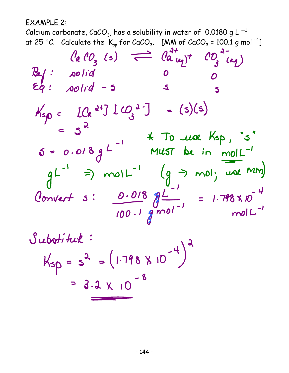EXAMPLE 2:

Calcium carbonate,  $CaCO<sub>3</sub>$ , has a solubility in water of 0.0180 g L  $^{-1}$ at 25 °C. Calculate the  $K_{sp}$  for CaCO<sub>3</sub>. [MM of CaCO<sub>3</sub> = 100.1 g mol<sup>-1</sup>]

$$
\begin{array}{rcl}\n\text{(a 10)} & \text{(b) } & \text{(c) } & \text{(d) } & \text{(e) } & \text{(f) } & \text{(g) } & \text{(h) } \\
\text{(g) } & \text{(h) } & \text{(i)} & \text{(ii)} & \text{(iii) } & \text{(iv) } \\
\text{(h) } & \text{(i)} & \text{(ii)} & \text{(iii) } & \text{(iv) } & \text{(iv) } \\
\text{(i)} & \text{(ii)} & \text{(iii) } & \text{(iv) } & \text{(iv) } & \text{(iv) } \\
\text{(i)} & \text{(ii)} & \text{(iii) } & \text{(iv) } & \text{(iv) } & \text{(iv) } \\
\text{(iv) } & \text{(iv) } & \text{(iv) } & \text{(v) } & \text{(v) } & \text{(v) } & \text{(v) } \\
\text{(iv) } & \text{(v) } & \text{(v) } & \text{(v) } & \text{(v) } & \text{(v) } & \text{(v) } & \text{(v) } \\
\text{(v) } & \text{(v) } & \text{(v) } & \text{(v) } & \text{(v) } & \text{(v) } & \text{(v) } & \text{(v) } \\
\text{(v) } & \text{(v) } & \text{(v) } & \text{(v) } & \text{(v) } & \text{(v) } & \text{(v) } & \text{(v) } & \text{(v) } & \text{(v) } \\
\text{(v) } & \text{(v) } & \text{(v) } & \text{(v) } & \text{(v) } & \text{(v) } & \text{(v) } & \text{(v) } & \text{(v) } & \text{(v) } & \text{(v) } & \text{(v) } & \text{(v) } & \text{(v) } & \text{(v) } & \text{(v) } & \text{(v) } & \text{(v) } & \text{(v) } & \text{(v) } & \text{(v) } & \text{(v) } & \text{(v) } & \text{(v) } & \text{(v) } & \text{(v) } & \text{(v) } & \text{(v) } & \text{(v) } & \text{(v) } & \text{(v) } & \text{(v) } & \text{(v) } & \text{(v) } & \text{(v) } & \text{(v) } & \text{(v) } & \text{(v) } & \text{(v) } & \text{(v) } & \text{(v) } & \text{(v) } & \text{(v) } & \
$$

Substitute:  
\n
$$
K_{sp} = s^{2} = (1.798 \times 10^{-4})^{2}
$$
  
\n $= 3.2 \times 10^{-8}$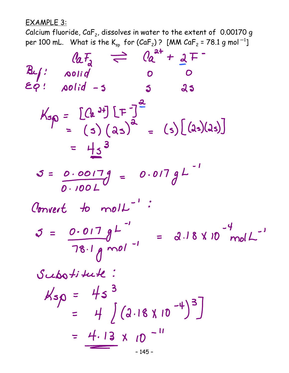EXAMPLE 3:

Calcium fluoride,  $CaF_2$ , dissolves in water to the extent of 0.00170 g per 100 mL.  $\,$  What is the K $_{\rm sp}$  for (CaF $_2$ ) ? [MM CaF $_2$  = 78.1 g mol $^{-1}$ ]

$$
\begin{array}{rcl}\n\text{(a)} \qquad & \text{(a)} \qquad & \text{(a)} \qquad & \text{(a)} \qquad & \text{(b)} \qquad & \text{(c)} \qquad & \text{(d)} \qquad & \text{(e)} \qquad & \text{(f)} \qquad & \text{(g)} \qquad & \text{(h)} \qquad & \text{(i)} \qquad & \text{(ii)} \qquad & \text{(iii)} \qquad & \text{(iv)} \qquad & \text{(iv)} \qquad & \text{(v)} \qquad & \text{(v)} \qquad & \text{(v)} \qquad & \text{(v)} \qquad & \text{(v)} \qquad & \text{(v)} \qquad & \text{(v)} \qquad & \text{(v)} \qquad & \text{(v)} \qquad & \text{(v)} \qquad & \text{(v)} \qquad & \text{(v)} \qquad & \text{(v)} \qquad & \text{(v)} \qquad & \text{(v)} \qquad & \text{(v)} \qquad & \text{(v)} \qquad & \text{(v)} \qquad & \text{(v)} \qquad & \text{(v)} \qquad & \text{(v)} \qquad & \text{(v)} \qquad & \text{(v)} \qquad & \text{(v)} \qquad & \text{(v)} \qquad & \text{(v)} \qquad & \text{(v)} \qquad & \text{(v)} \qquad & \text{(v)} \qquad & \text{(v)} \qquad & \text{(v)} \qquad & \text{(v)} \qquad & \text{(v)} \qquad & \text{(v)} \qquad & \text{(v)} \qquad & \text{(v)} \qquad & \text{(v)} \qquad & \text{(v)} \qquad & \text{(v)} \qquad & \text{(v)} \qquad & \text{(v)} \qquad & \text{(v)} \qquad & \text{(v)} \qquad & \text{(v)} \qquad & \text{(v)} \qquad & \text{(v)} \qquad & \text{(v)} \qquad & \text{(v)} \qquad & \text{(v)} \qquad & \text{(v)} \qquad & \text{(v)} \qquad & \text{(v)} \qquad & \text{(v)} \qquad & \text{(v)} \qquad & \text{(v)} \qquad & \text{(v)} \qquad & \text{(v)} \qquad & \text{(v)} \qquad & \text{(v)} \qquad & \text{(v)} \qquad & \text{(v)} \qquad & \text{(v)} \qquad & \text{(v)} \qquad & \text{(v)} \qquad & \text{(v)} \qquad & \text{(v)} \qquad & \text{(v)} \qquad & \text{(v
$$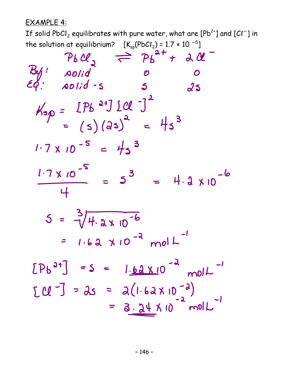EXAMPLE 4:

If solid PbCl $_2$  equilibrates with pure water, what are [Pb $^{2\ast}$ ] and [Cl $^{-}$ ] in

the solution at equilibrium?  $[K_{sp}(PbCl_2) = 1.7 \times 10^{-5}]$ <br>  $Pb \mathcal{U}_{2} \rightleftharpoons Pb^{2+} + 3 \mathcal{U}$ <br>  $Eq: \text{solid} \cdot s$   $S$   $35$  $K_{sp} = [Pb^{24}] [Cl^{-1}]^{2}$ <br>= (s)(2s)<sup>2</sup> = 4s<sup>3</sup>  $1.7 \times 10^{-5} = 45^{3}$  $\frac{1.7 \times 10^{-5}}{4} = 5^{3} = 4.2 \times 10^{-6}$  $5 = \sqrt[3]{4.2 \times 10^{-6}}$ =  $1.62 \times 10^{-3}$  mol L<sup>-1</sup>  $[Pb^{2t}] = S = 1.62 \times 10^{-2} \text{ mol}^{-1}$  $LU^{-1} = 25 = 2(1.62 \times 10^{-2})$  $= 3.24 × 10^{-2} molL^{-1}$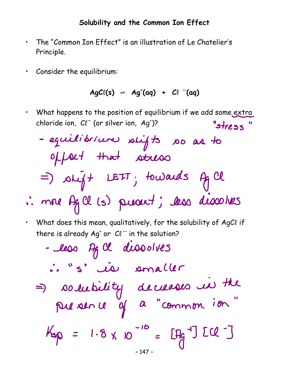### **Solubility and the Common Ion Effect**

- The "Common Ion Effect" is an illustration of Le Chatelier's Principle.
- Consider the equilibrium:

#### $AgCl(s) \Leftrightarrow Ag^{*}(aq) + Cl^{*}(aq)$

- What happens to the position of equilibrium if we add some extra chloride ion,  $Cl^-($  (or silver ion,  $Ag^{\dagger})$ ? "stress"
	- equilibrium stifts so as to offeet that stress =) shijt LEIT; towards Ag Cl
- : more Ag Cl (s) present; les dissolves
- What does this mean, qualitatively, for the solubility of AgCl if there is already Ag<sup>+</sup> or  $Cl^-$  in the solution?
	- less Ag Cl dissolves : "s' is somaller => solubility decleases in the  $K_{sp} = 1.8 \times 10^{-10} = [Hg^{-1}] ECl^{-1}$ – 147 –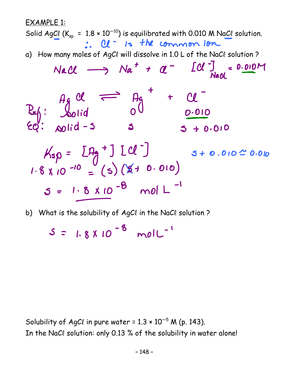EXAMPLE 1: Solid AgCl  $(K_{sp} = 1.8 \times 10^{-10})$  is equilibrated with 0.010 M NaCl solution. a) How many moles of AgCl will dissolve in 1.0 L of the NaCl solution?  $Nac\ell \longrightarrow Na^+ + \alpha^ [Cl^+]_{NaM} = 0.010M$  $P_{eff}: \begin{matrix} 4g & 0l & \implies & 4g & + & 0l \\ 2g & 3 & 0 & \frac{0.010}{0.010} \\ 60 & 0.010 & 0.010 & 0.010 \end{matrix}$  $K_{sp} = LP_{g} + J [Cl^{-}]$ <br>1.8 x 10 -10 = (s) (\$ + 0.010)  $5 + 0.010 \stackrel{?}{\sim} 0.010$  $5 = 1.8 \times 10^{-8} \text{ mol } L^{-1}$ 

b) What is the solubility of AgCl in the NaCl solution?

 $S = 1.8 \times 10^{-8}$  moll<sup>-1</sup>

Solubility of AgCl in pure water =  $1.3 \times 10^{-5}$  M (p. 143). In the NaCl solution: only 0.13 % of the solubility in water alone!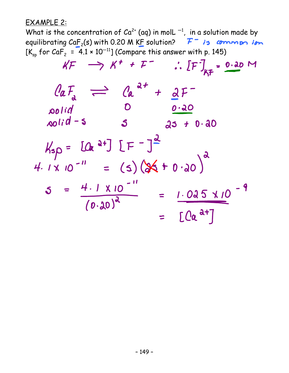#### EXAMPLE 2:

What is the concentration of  $Ca^{2+}$  (aq) in molL  $^{-1}$ , in a solution made by equilibrating  $CaF_2(s)$  with 0.20 M KF solution?  $F^-$  is common ion  $[K_{sp}$  for CaF<sub>2</sub> = 4.1 × 10<sup>-11</sup>] (Compare this answer with p. 145)

$$
kF \rightarrow k^{+} + F^{-} \quad \therefore [F]_{kF} = 0.20 \text{ M}
$$
\n
$$
Q_{a}F_{a} \rightleftharpoons Q_{a}^{a+} + Q_{a}F^{-}
$$
\n
$$
\text{solid} \quad \text{O} \quad \text{0.20}
$$
\n
$$
\text{A}_{s}P = [Q_{a}^{a+}] [F^{-}]^{\frac{d}{2}}
$$
\n
$$
4.1 \times 10^{-11} = (5) (36 + 0.20)^{a}
$$
\n
$$
5 = \frac{4.1 \times 10^{-11}}{(0.20)^{a}} = \frac{1.025 \times 10^{-9}}{[Q_{a}^{a+}]}
$$
\n
$$
= [Q_{a}^{a+}]
$$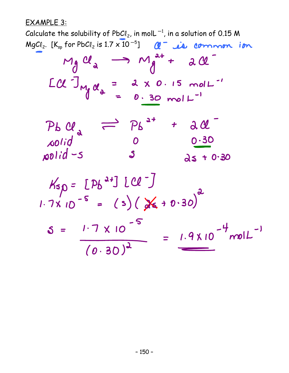EXAMPLE 3:

Calculate the solubility of PbCl<sub>2</sub>, in molL<sup>-1</sup>, in a solution of 0.15 M MgCl<sub>2</sub>.  $[K_{sp}$  for PbCl<sub>2</sub> is  $1.7 \times 10^{-5}$ ]  $M = 10$  common ion

$$
M_g \mathcal{U}_a \longrightarrow M_g^{2+} + 2 \mathcal{U}
$$
  
LC J<sub>Mg</sub> $\mathcal{U}_a = 2 \times 0.15 \text{ mol}^{-1}$ 

$$
\begin{array}{rcl}\n\mathcal{P}_b & \mathcal{Q}_a & \overrightarrow{=} & \mathcal{P}_b \stackrel{a+}{} & + & \mathcal{A} \mathcal{Q}_a \\
\mathcal{A} & \mathcal{Q} & 0 & 0.30 \\
\mathcal{A} & 0 & 0.30 & \\
\mathcal{A} & 0 & 0.30 & \\
\mathcal{A} & 0 & 0.30 & \\
\end{array}
$$

$$
K_{5}\rho = [P_{b}^{2+}][Cl^{-}]
$$
  
1.7x 10<sup>-5</sup> = (s)(x<sup>2</sup> + 0.30)<sup>2</sup>  

$$
S = \frac{1.7 \times 10^{-5}}{(0.30)^{2}} = \frac{1.9 \times 10^{-4} \text{mol}L^{-1}}{}
$$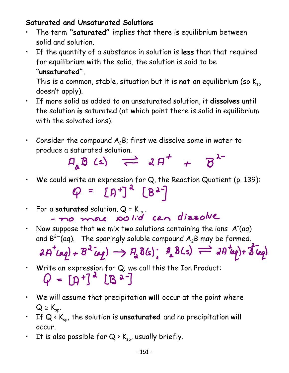## **Saturated and Unsaturated Solutions**

- The term **"saturated"** implies that there is equilibrium between solid and solution.
- If the quantity of a substance in solution is **less** than that required for equilibrium with the solid, the solution is said to be **"unsaturated".**

This is a common, stable, situation but it is not an equilibrium (so K<sub>sp</sub> doesn't apply).

- If more solid as added to an unsaturated solution, it **dissolves** until the solution **is** saturated (at which point there is solid in equilibrium with the solvated ions).
- Consider the compound  $A_2B$ ; first we dissolve some in water to



- We could write an expression for Q, the Reaction Quotient (p. 139):  $\varphi = [A^+]^2 [B^2]$
- · For a saturated solution, Q = K<sub>sp</sub>.<br>- *To more* solid can dissolve
- Now suppose that we mix two solutions containing the ions  $A^{\dagger}(aq)$ and  $B^{2-}$ (aq). The sparingly soluble compound  $A_2B$  may be formed.

$$
\partial A^{\dagger}(aq) + B^2(q) \rightarrow P_a \delta(s); \quad \partial_a B(s) \rightleftharpoons \partial B^{\dagger}(aq) + \overline{\delta}(cq)
$$

- Write an expression for Q; we call this the Ion Product:<br>  $Q = \prod_{i=1}^{n} \prod_{i=1}^{n} \prod_{i=1}^{n} \frac{1}{i!} \prod_{i=1}^{n} \frac{1}{i!} \prod_{i=1}^{n} \frac{1}{i!} \prod_{i=1}^{n} \frac{1}{i!} \prod_{i=1}^{n} \frac{1}{i!} \prod_{i=1}^{n} \frac{1}{i!} \prod_{i=1}^{n} \frac{1}{i!} \prod_{i=1}^{n} \frac$
- We will assume that precipitation **will** occur at the point where  $Q \geq K_{sp}$ .
- If Q < K<sub>sp</sub>, the solution is unsaturated and no precipitation will occur.
- It is also possible for  $Q \succ K_{sp}$ , usually briefly.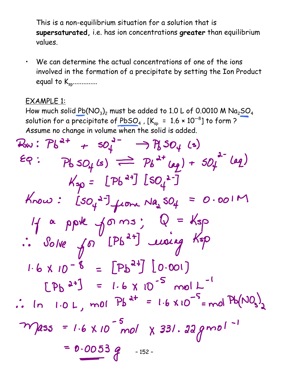This is a non-equilibrium situation for a solution that is **supersaturated,** i.e. has ion concentrations **greater** than equilibrium values.

• We can determine the actual concentrations of one of the ions involved in the formation of a precipitate by setting the Ion Product equal to  $K_{sp}$ ..............

### EXAMPLE 1:

How much solid  $Pb(NO<sub>3</sub>)<sub>2</sub>$  must be added to 1.0 L of 0.0010 M Na<sub>2</sub>SO<sub>4</sub> solution for a precipitate of  $PbSO_4$ ,  $[K_{sp} = 1.6 \times 10^{-8}]$  to form ? Assume no change in volume when the solid is added.

– 152 –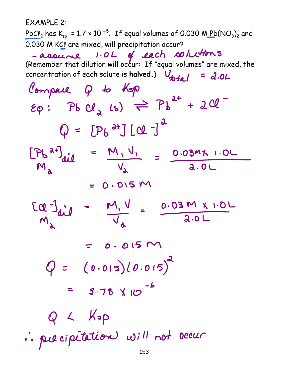EXAMPLE 2:

PbCl<sub>2</sub> has K<sub>sp</sub> = 1.7 × 10<sup>-5</sup>. If equal volumes of 0.030 M Pb(NO<sub>3</sub>)<sub>2</sub> and 0.030 M KCI are mixed, will precipitation occur?<br>- assume  $1.0 L$  of each solutions

(Remember that dilution will occur: If "equal volumes" are mixed, the concentration of each solute is **halved.**)  $V_{total} = 2.0L$ 

Compaie Q to Ksp  $\epsilon_{\varphi}$ :  $\Gamma_{\beta}$   $\Gamma_{\alpha}$   $\Gamma_{\beta}$   $\Gamma_{\beta}$  +  $2\alpha$  $Q = [P_b^{a+}] [C1^{-}]^2$  $[Ph^{a+}]{ail} = M_{1}V_{1} = 0.039111.0L$ <br>  $M_{2} = 0.039111.0L$  $= 0.015 M$  $\frac{[d^2]}{M_1}$  =  $\frac{M_1V}{V_d}$  =  $\frac{0.03 M X 1.0 L}{2.0 L}$  $= 0.015 M$  $Q = (0.015)(0.015)^{2}$  $= 3.78$   $\times 10^{-6}$  $Q \sim$  Kop : precipitation will not occur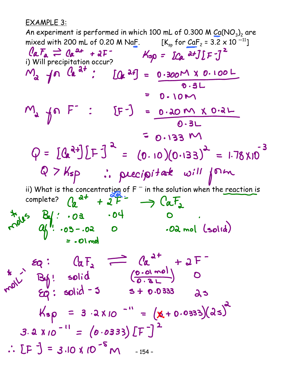EXAMPLE 3:

An experiment is performed in which 100 mL of 0.300 M  $Ca(NO<sub>3</sub>)<sub>2</sub>$  are mixed with 200 mL of 0.20 M NaF.  $[k_{sp} \text{ for } \text{CaF}_2 = 3.2 \times 10^{-11}]$ <br>  $\text{CaF}_2 \rightleftharpoons \text{Ca} \cdot 2 + 10^{-11}$ <br>
i) Will precipitation occurs i) Will precipitation occur?<br> $M_a$   $\{n \begin{bmatrix} a^1 \\ n \end{bmatrix} : [a^1] = 0.300M \times 0.100L$ <br> $0.3L$  $= 0.10M$  $M_a$  for  $F^-$  :  $[F^-] = 0.20 M x 0.2L$  $= 0.133 M$  $Q = [Q^{2+}][F]^{2} = (0.10)(0.133)^{2} = 1.78 \times 10^{-3}$ Q > Ksp : precipitate will form ii) What is the concentration of  $F^-$  in the solution when the reaction is complete? $= 0.01$ mol  $\frac{25}{11}$   $\frac{60}{11}$   $\frac{60}{11}$   $\frac{60}{11}$   $\frac{60}{11}$   $\frac{60}{11}$   $\frac{60}{11}$   $\frac{60}{11}$   $\frac{60}{11}$   $\frac{60}{11}$   $\frac{60}{11}$   $\frac{60}{11}$   $\frac{60}{11}$   $\frac{60}{11}$   $\frac{60}{11}$   $\frac{60}{11}$   $\frac{60}{11}$   $\frac{60}{11}$   $\frac{6$  $K_{sp}$  = 3.2X10 -" =  $(x+0.0333)(2s)$  $3.2$  X 10<sup>-11</sup> = (0.0333) [F]<sup>2</sup>  $\therefore$  [F ] = 3.10 X 10<sup>-5</sup> M -154-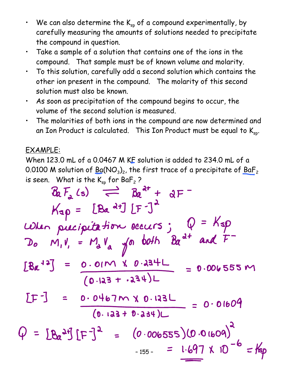- We can also determine the  $K_{\rm sp}$  of a compound experimentally, by carefully measuring the amounts of solutions needed to precipitate the compound in question.
- Take a sample of a solution that contains one of the ions in the compound. That sample must be of known volume and molarity.
- To this solution, carefully add a second solution which contains the other ion present in the compound. The molarity of this second solution must also be known.
- As soon as precipitation of the compound begins to occur, the volume of the second solution is measured.
- The molarities of both ions in the compound are now determined and an Ion Product is calculated. This Ion Product must be equal to  $K_{\text{sp}}$ .

# EXAMPLE:

When 123.0 mL of a 0.0467 M KF solution is added to 234.0 mL of a 0.0100 M solution of  $Ba(NO<sub>3</sub>)<sub>2</sub>$ , the first trace of a precipitate of  $BaF<sub>2</sub>$ is seen. What is the  $K_{sp}$  for BaF<sub>2</sub> ?

$$
a_{1}F_{2}(s) \implies a_{2}^{d+} + a_{1}F^{-1}
$$
\n
$$
K_{3}p = [Ba^{d+1}] [F^{-1}]^{2}
$$
\n
$$
LQ
$$
\n
$$
D_{0} M_{1}V_{1} = M_{0}V_{a} \text{ so both } Ba^{d+} \text{ and } F^{-1}
$$
\n
$$
[Ba^{d+3}] = 0.01M \times 0.234L
$$
\n
$$
[D^{-1}] = 0.0467M \times 0.132L
$$
\n
$$
[D^{-1}] = 0.0467M \times 0.132L
$$
\n
$$
[0.133 + 0.334)L
$$
\n
$$
[0.133 + 0.334)L
$$
\n
$$
[0.133 + 0.334)L
$$
\n
$$
[0.133 + 0.334)L
$$
\n
$$
[0.133 + 0.334)L
$$
\n
$$
[0.133 + 0.334)L
$$
\n
$$
[0.133 + 0.334)L
$$
\n
$$
[0.133 + 0.334)L
$$
\n
$$
[0.133 + 0.334)L
$$
\n
$$
[0.133 + 0.334)L
$$
\n
$$
[0.133 + 0.334)L
$$
\n
$$
[0.133 + 0.334)L
$$
\n
$$
[0.133 + 0.334)L
$$
\n
$$
[0.133 + 0.334)L
$$
\n
$$
[0.133 + 0.334)L
$$
\n
$$
[0.133 + 0.334)L
$$
\n
$$
[0.133 + 0.334)L
$$
\n
$$
[0.133 + 0.334)L
$$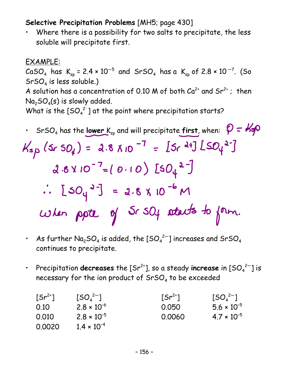## **Selective Precipitation Problems** [MH5; page 430]

Where there is a possibility for two salts to precipitate, the less soluble will precipitate first.

## EXAMPLE:

CaSO<sub>4</sub> has  $K_{sp} = 2.4 \times 10^{-5}$  and SrSO<sub>4</sub> has a  $K_{sp}$  of 2.8  $\times$  10<sup>-7</sup>. (So  $SrSO<sub>4</sub>$  is less soluble.)

A solution has a concentration of 0.10 M of both  $Ca^{2+}$  and  $Sr^{2+}$ ; then  $Na<sub>2</sub>SO<sub>4</sub>(s)$  is slowly added.

What is the  $[SO_4^{2-}]$  at the point where precipitation starts?

$$
srsO4 has the lower Ksp and will precipitate first, when:  $Q = k\phi$   
\n
$$
K_{sp}(srsO4) = 2.8 \times 10^{-7} = [5r^{d+1}][SO4^{2-}]
$$
\n
$$
d \cdot 6 \times 10^{-7} = (0.10) [5O4^{2-}]
$$
\n
$$
\therefore [5O4^{3-}] = 2.8 \times 10^{-6} M
$$
\n
$$
W_{em} = 0.00
$$
\n
$$
W_{em} = 0.00
$$
\n
$$
W_{em} = 0.00
$$
\n
$$
V_{em} = 0.00
$$
\n
$$
V_{em} = 0.00
$$
\n
$$
V_{em} = 0.00
$$
\n
$$
V_{em} = 0.00
$$
\n
$$
V_{em} = 0.00
$$
\n
$$
V_{em} = 0.00
$$
\n
$$
V_{em} = 0.00
$$
\n
$$
V_{em} = 0.00
$$
\n
$$
V_{em} = 0.00
$$
\n
$$
V_{em} = 0.00
$$
\n
$$
V_{em} = 0.00
$$
\n
$$
V_{em} = 0.00
$$
\n
$$
V_{em} = 0.00
$$
\n
$$
V_{em} = 0.00
$$
\n
$$
V_{em} = 0.00
$$
\n
$$
V_{em} = 0.00
$$
\n
$$
V_{em} = 0.00
$$
\n
$$
V_{em} = 0.00
$$
\n
$$
V_{em} = 0.00
$$
\n
$$
V_{em} = 0.00
$$
\n
$$
V_{em} = 0.00
$$
\n
$$
V_{em} = 0.00
$$
\n
$$
V_{em} = 0.00
$$
\n
$$
V_{em} = 0.00
$$
\n
$$
V_{em} = 0.00
$$
\n
$$
V_{
$$
$$

- $\,$  As further Na $_{2}$ SO $_{4}$  is added, the [SO $_{4}^{\,2-}$ ] increases and SrSO $_{4}$ continues to precipitate.
- Precipitation **decreases** the  $[Sr^{2+}]$ , so a steady **increase** in  $[SO_4^{2-}]$  is necessary for the ion product of  $SrSO<sub>4</sub>$  to be exceeded

| $[5r^{2+}]$ | $[SO_4^{2-}]$        | $[Sr^{2+}]$ | $[5O_4^{2-}]$        |
|-------------|----------------------|-------------|----------------------|
| 0.10        | $2.8 \times 10^{-6}$ | 0.050       | $5.6 \times 10^{-5}$ |
| 0.010       | $2.8 \times 10^{-5}$ | 0.0060      | $4.7 \times 10^{-5}$ |
| 0.0020      | $1.4 \times 10^{-4}$ |             |                      |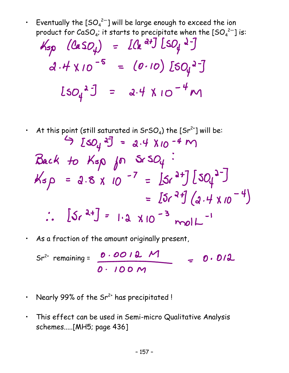• Eventually the [SO $_4^{2-}$ ] will be large enough to exceed the ion product for CaSO<sub>4</sub>; it starts to precipitate when the [SO $_4^{2-}$ ] is:

$$
K_{sp}
$$
 (CaSO<sub>4</sub>) = [Ca<sup>2+</sup>] [SO<sub>4</sub>2<sup>-</sup>]  
\na.4 × 10<sup>-5</sup> = (0.10) [SO<sub>4</sub>2<sup>-</sup>]  
\n[SO<sub>4</sub>2<sup>3</sup>] = a.4 × 10<sup>-4</sup> m

- At this point (still saturated in SrSO<sub>4</sub>) the [Sr<sup>2+</sup>] will be:  $9$  [so<sub>4</sub>  $3 = 2.4$  X10 -4 M Back to Ksp for SrS $O_4$  $Ksp = 2.8 \times 10^{-7} = [5r^{2+}][50t^{2-}]$ =  $[5r^2f](a.4 \times 10^{-4})$  $\therefore$   $[5r^{2+}] = 1.2 \times 10^{-3}$  molL
- As a fraction of the amount originally present,

 $Sr^{2+}$  remaining =  $\frac{0.0012 \text{ M}}{0.100 \text{ M}}$  = 0.012

- Nearly 99% of the  $Sr^{2+}$  has precipitated!
- This effect can be used in Semi-micro Qualitative Analysis schemes.....[MH5; page 436]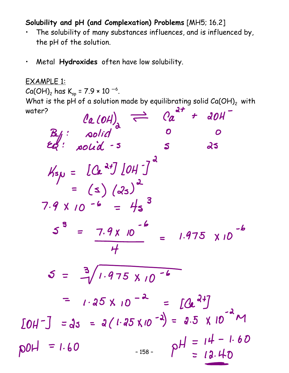**Solubility and pH (and Complexation) Problems** [MH5; 16.2]

- The solubility of many substances influences, and is influenced by, the pH of the solution.
- Metal **Hydroxides** often have low solubility.

EXAMPLE 1:  $Ca(OH)_2$  has  $K_{sp} = 7.9 \times 10^{-6}$ . What is the pH of a solution made by equilibrating solid Ca(OH)<sub>2</sub> with water? water?

| $la$ (OH) $\rightleftharpoons$ $Ca$<br>$\boldsymbol{t}$<br>$d$ $\mathcal{O}$ $\mathcal{H}$         |
|----------------------------------------------------------------------------------------------------|
|                                                                                                    |
| $\begin{bmatrix} B_{1/2} : & \text{solid} \\ E_{2/2} : & \text{solid} \\ \end{bmatrix}$<br>25<br>S |
| $K_{5\mu} = [Ca^{2+}][OH^{-}]^{2}$<br>= (s) (2s) <sup>2</sup><br>$7.9 \times 10^{-6} = 4s^3$       |
| $5^3$ = $7.9 \times 10^{-6}$ = $1.975 \times 10^{-6}$<br>$\boldsymbol{\mathcal{H}}$                |
| $5 = \frac{3}{1} / 1.975 \times 10^{-6}$                                                           |
| = $1.25 \times 10^{-2} = [a^{24}]$                                                                 |
| $[OH^-] = 25 = 2(1.25 \times 10^{-2}) = 2.5 \times 10^{-2} M$                                      |
| $P$ H = 14 - 1.60<br>$p0H = 1.60$<br>$-158-$                                                       |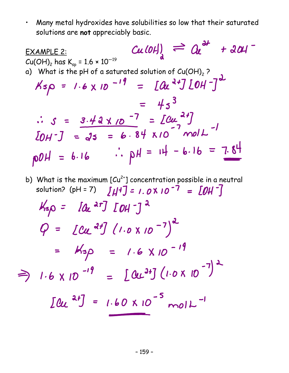• Many metal hydroxides have solubilities so low that their saturated solutions are **not** appreciably basic.

 $Cu(0H)$  =  $a^{2}$  + 201 EXAMPLE 2:  $Cu(OH)<sub>2</sub>$  has  $K_{sp} = 1.6 \times 10^{-19}$ a) What is the pH of a saturated solution of Cu(OH)<sub>2</sub>?<br> $Ksp = 1.6 \times 10^{-19} = [Qu<sup>2+</sup>] [OH<sup>-</sup>]<sup>2</sup>$  $= 45^3$ :  $S = 3.42 \times 10^{-7} = 20u^{24}$ <br> $[0 + 3] = 35 = 6.84 \times 10^{-7}$  moll $p0H = 6.16$  :  $pH = 14 - 6.16 = 7.84$ 

- b) What is the maximum  $[Cu^{2+}]$  concentration possible in a neutral solution? (pH = 7)  $\left[\mu^{4}\right] = 1.0 \times 10^{-7} = \left[\frac{0 \mu^{2}}{1.000}\right]$
- $K_{50}$  =  $[a_{\epsilon}$  ar]  $[OH^{-}]$ <sup>2</sup>  $Q = [Cu^{2t}](1.0 \times 10^{-7})^{d}$ =  $M_{50}$  = 1.6 X10<sup>-19</sup>  $\Rightarrow$  1.6 x 10 -19 =  $[0.24] (1.0 \times 10^{-7})^2$

$$
[0.24] = 1.60 \times 10^{-5} \text{ mol}^{-1}
$$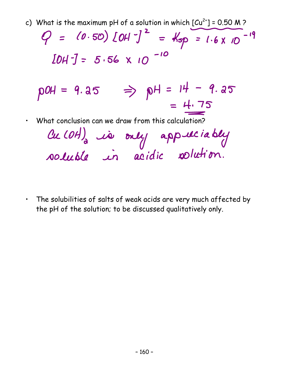c) What is the maximum pH of a solution in which  $[Cu^{2+}] = 0.50$  M ?

 $9 = (0.50) [0H^2] = 45p = 1.6 \times 10^{-19}$  $[DH^-] = 5.56 \times 10^{-10}$ 

$$
pOH = 9.35 \Rightarrow pH = 14 - 9.35
$$

$$
= \frac{4.75}{}
$$

• What conclusion can we draw from this calculation?

|  | Cu (OH) is only appuliably |
|--|----------------------------|
|  |                            |

• The solubilities of salts of weak acids are very much affected by the pH of the solution; to be discussed qualitatively only.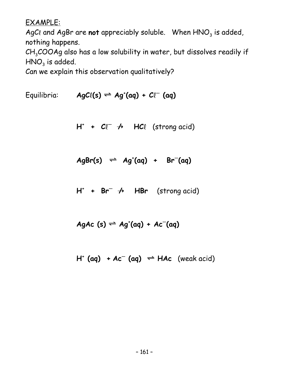EXAMPLE:

AgCl and AgBr are **not** appreciably soluble. When  $HNO<sub>3</sub>$  is added, nothing happens.

 $CH<sub>3</sub>COOAg$  also has a low solubility in water, but dissolves readily if  $HNO<sub>3</sub>$  is added.

Can we explain this observation qualitatively?

 $Equilibria: \qquad \textit{AgCl}(s) \rightleftharpoons \textit{Ag}^{\dagger}(aq) + \textit{Cl}^{-}(aq)$ 

**H**<sup>+</sup> +  $\mathcal{C}\ell^{-}$   $\rightarrow$  **HC**l (strong acid)

 $AgBr(s) \Rightarrow Ag^*(aq) + Br^-(aq)$ 

**H<sup>+</sup> + Br—** ÿ**/ HBr** (strong acid)

**AgAc (s)** º **Ag+ (aq) + Ac—(aq)**

 $H^+$  (aq) +  $Ac^-$  (aq)  $\rightleftharpoons$  HAc (weak acid)